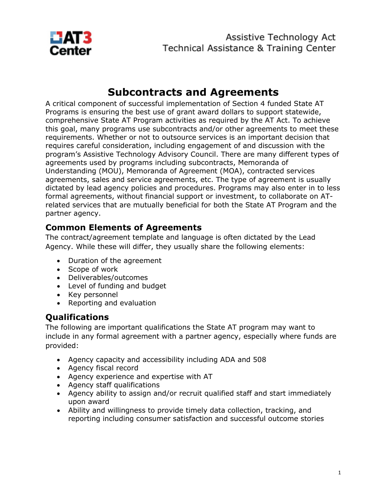

# **Subcontracts and Agreements**

A critical component of successful implementation of Section 4 funded State AT Programs is ensuring the best use of grant award dollars to support statewide, comprehensive State AT Program activities as required by the AT Act. To achieve this goal, many programs use subcontracts and/or other agreements to meet these requirements. Whether or not to outsource services is an important decision that requires careful consideration, including engagement of and discussion with the program's Assistive Technology Advisory Council. There are many different types of agreements used by programs including subcontracts, Memoranda of Understanding (MOU), Memoranda of Agreement (MOA), contracted services agreements, sales and service agreements, etc. The type of agreement is usually dictated by lead agency policies and procedures. Programs may also enter in to less formal agreements, without financial support or investment, to collaborate on ATrelated services that are mutually beneficial for both the State AT Program and the partner agency.

### **Common Elements of Agreements**

The contract/agreement template and language is often dictated by the Lead Agency. While these will differ, they usually share the following elements:

- Duration of the agreement
- Scope of work
- Deliverables/outcomes
- Level of funding and budget
- Key personnel
- Reporting and evaluation

## **Qualifications**

The following are important qualifications the State AT program may want to include in any formal agreement with a partner agency, especially where funds are provided:

- Agency capacity and accessibility including ADA and 508
- Agency fiscal record
- Agency experience and expertise with AT
- Agency staff qualifications
- Agency ability to assign and/or recruit qualified staff and start immediately upon award
- Ability and willingness to provide timely data collection, tracking, and reporting including consumer satisfaction and successful outcome stories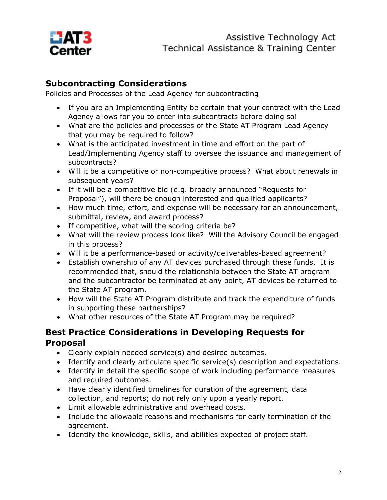

### **Subcontracting Considerations**

Policies and Processes of the Lead Agency for subcontracting

- If you are an Implementing Entity be certain that your contract with the Lead Agency allows for you to enter into subcontracts before doing so!
- What are the policies and processes of the State AT Program Lead Agency that you may be required to follow?
- What is the anticipated investment in time and effort on the part of Lead/Implementing Agency staff to oversee the issuance and management of subcontracts?
- Will it be a competitive or non-competitive process? What about renewals in subsequent years?
- If it will be a competitive bid (e.g. broadly announced "Requests for Proposal"), will there be enough interested and qualified applicants?
- How much time, effort, and expense will be necessary for an announcement, submittal, review, and award process?
- If competitive, what will the scoring criteria be?
- What will the review process look like? Will the Advisory Council be engaged in this process?
- Will it be a performance-based or activity/deliverables-based agreement?
- Establish ownership of any AT devices purchased through these funds. It is recommended that, should the relationship between the State AT program and the subcontractor be terminated at any point, AT devices be returned to the State AT program.
- How will the State AT Program distribute and track the expenditure of funds in supporting these partnerships?
- What other resources of the State AT Program may be required?

#### **Best Practice Considerations in Developing Requests for Proposal**

- Clearly explain needed service(s) and desired outcomes.
- Identify and clearly articulate specific service(s) description and expectations.
- Identify in detail the specific scope of work including performance measures and required outcomes.
- Have clearly identified timelines for duration of the agreement, data collection, and reports; do not rely only upon a yearly report.
- Limit allowable administrative and overhead costs.
- Include the allowable reasons and mechanisms for early termination of the agreement.
- Identify the knowledge, skills, and abilities expected of project staff.